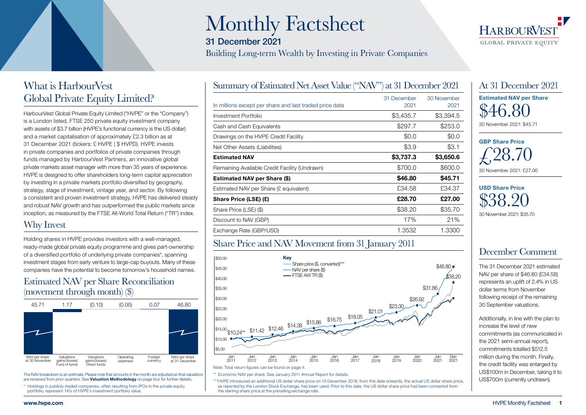

### What is HarbourVest Global Private Equity Limited?

HarbourVest Global Private Equity Limited ("HVPE" or the "Company") is a London listed. FTSE 250 private equity investment company with assets of \$3.7 billion (HVPE's functional currency is the US dollar) and a market capitalisation of approximately £2.3 billion as at 31 December 2021 (tickers: £ HVPE | \$ HVPD). HVPE invests in private companies and portfolios of private companies through funds managed by HarbourVest Partners, an innovative global private markets asset manager with more than 35 years of experience. HVPE is designed to offer shareholders long-term capital appreciation by investing in a private markets portfolio diversified by geography, strategy, stage of investment, vintage year, and sector. By following a consistent and proven investment strategy, HVPE has delivered steady and robust NAV growth and has outperformed the public markets since inception, as measured by the FTSE All-World Total Return ("TR") index.

### Why Invest

Holding shares in HVPE provides investors with a well-managed, ready-made global private equity programme and gives part-ownership of a diversified portfolio of underlying private companies\*, spanning investment stages from early venture to large-cap buyouts. Many of these companies have the potential to become tomorrow's household names.

### Estimated NAV per Share Reconciliation (movement through month) (\$)



The NAV breakdown is an estimate. Please note that amounts in the month are adjusted as final valuations are received from prior quarters. See Valuation Methodology on page four for further details.

\* Holdings in publicly-traded companies, often resulting from IPOs in the private equity portfolio, represent 14% of HVPE's investment portfolio value.

# Monthly Factsheet

31 December 2021

Building Long-term Wealth by Investing in Private Companies



### Share Price and NAV Movement from 31 January 2011



\*\*\*HVPE introduced an additional US dollar share price on 10 December 2018; from this date onwards, the actual US dollar share price, as reported by the London Stock Exchange, has been used. Prior to this date, the US dollar share price had been converted from the sterling share price at the prevailing exchange rate.



## At 31 December 2021 Estimated NAV per Share \$46.80 30 November 2021: \$45.71





30 November 2021: £27.00

USD Share Price \$38.20 30 November 2021: \$35.70

### December Comment

The 31 December 2021 estimated NAV per share of \$46.80 (£34.58) represents an uplift of 2.4% in US dollar terms from November following receipt of the remaining 30 September valuations.

Additionally, in line with the plan to increase the level of new commitments (as communicated in the 2021 semi-annual report), commitments totalled \$512.5 million during the month. Finally, the credit facility was enlarged by US\$100m in December, taking it to US\$700m (currently undrawn).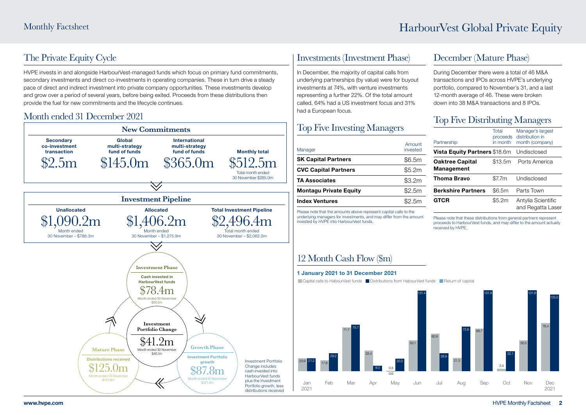### The Private Equity Cycle

HVPE invests in and alongside HarbourVest-managed funds which focus on primary fund commitments, secondary investments and direct co-investments in operating companies. These in turn drive a steady pace of direct and indirect investment into private company opportunities. These investments develop and grow over a period of several years, before being exited. Proceeds from these distributions then provide the fuel for new commitments and the lifecycle continues.

### Month ended 31 December 2021



### Investments (Investment Phase)

In December, the majority of capital calls from underlying partnerships (by value) were for buyout investments at 74%, with venture investments representing a further 22%. Of the total amount called, 64% had a US investment focus and 31% had a European focus.

### Top Five Investing Managers

| Manager                        | Amount<br>invested |  |
|--------------------------------|--------------------|--|
| <b>SK Capital Partners</b>     | \$6.5m             |  |
| <b>CVC Capital Partners</b>    | \$5.2m             |  |
| \$3.2m<br><b>TA Associates</b> |                    |  |
| <b>Montagu Private Equity</b>  | \$2.5m             |  |
| <b>Index Ventures</b>          | \$2.5m             |  |

Please note that the amounts above represent capital calls to the underlying managers for investments, and may differ from the amount invested by HVPE into HarbourVest funds.

### December (Mature Phase)

During December there were a total of 46 M&A transactions and IPOs across HVPE's underlying portfolio, compared to November's 31, and a last 12-month average of 46. These were broken down into 38 M&A transactions and 8 IPOs.

### Top Five Distributing Managers

| Partnership                          | Total<br>proceeds<br>in month | Manager's largest<br>distribution in<br>month (company) |
|--------------------------------------|-------------------------------|---------------------------------------------------------|
| Vista Equity Partners \$18.6m        |                               | Undisclosed                                             |
| <b>Oaktree Capital</b><br>Management | \$13.5m                       | Ports America                                           |
| Thoma Bravo                          | \$7.7m                        | Undisclosed                                             |
| <b>Berkshire Partners</b>            | \$6.5m                        | Parts Town                                              |
| <b>GTCR</b>                          | \$5.2m                        | Antylia Scientific<br>and Regatta Laser                 |

Please note that these distributions from general partners represent proceeds to HarbourVest funds, and may differ to the amount actually received by HVPE.

### 12 Month Cash Flow (\$m)

#### 1 January 2021 to 31 December 2021

Capital calls to HabourVest funds ■ Distributions from HabourVest funds ■ Return of capital

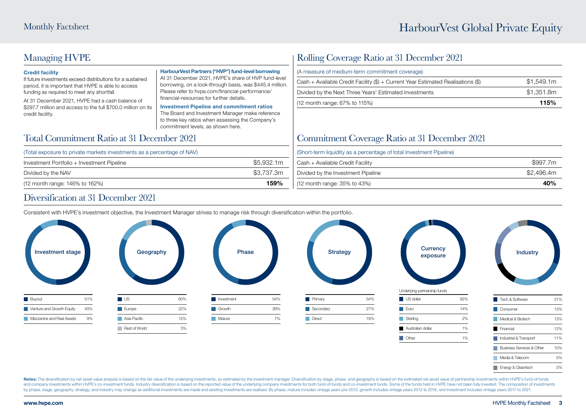### Managing HVPE

#### Credit facility

If future investments exceed distributions for a sustained period, it is important that HVPE is able to access funding as required to meet any shortfall.

At 31 December 2021, HVPE had a cash balance of \$297.7 million and access to the full \$700.0 million on its credit facility.

HarbourVest Partners ("HVP") fund-level borrowing

At 31 December 2021, HVPE's share of HVP fund-level borrowing, on a look-through basis, was \$445.4 million. Please refer to hvpe.com/financial-performance/ financial-resources for further details.

Investment Pipeline and commitment ratios The Board and Investment Manager make reference to three key ratios when assessing the Company's commitment levels, as shown here.

### Total Commitment Ratio at 31 December 2021

#### (Total exposure to private markets investments as a percentage of NAV) Investment Portfolio + Investment Pipeline \$5,932.1m

| Divided by the NAV             | \$3.737.3m |
|--------------------------------|------------|
| (12 month range: 146% to 162%) | 159%       |

### Rolling Coverage Ratio at 31 December 2021

| (12 month range: 67% to 115%)                                                    | 115%       |
|----------------------------------------------------------------------------------|------------|
| Divided by the Next Three Years' Estimated Investments                           | \$1,351.8m |
| Cash + Available Credit Facility (\$) + Current Year Estimated Realisations (\$) | \$1,549.1m |
| (A measure of medium-term commitment coverage)                                   |            |

### Commitment Coverage Ratio at 31 December 2021

| (12 month range: 35% to 43%)                                        | 40%        |
|---------------------------------------------------------------------|------------|
| Divided by the Investment Pipeline                                  | \$2.496.4m |
| Cash + Available Credit Facility                                    | \$997.7m   |
| (Short-term liquidity as a percentage of total Investment Pipeline) |            |

### Diversification at 31 December 2021

Consistent with HVPE's investment objective, the Investment Manager strives to manage risk through diversification within the portfolio.



Notes: The diversification by net asset value analysis is based on the fair value of the underlying investments, as estimated by the investment manager. Diversification by stage, phase, and geography is based on the estima and company investments within HVPE's co-investment funds. Industry diversification is based on the reported value of the underlying company investments for both fund-of-funds and co-investment funds. Some of the funds hel by phase, stage, geography, strategy, and industry may change as additional investments are made and existing investments are realised. By phase, mature includes vintage years pre-2012, growth includes vintage years 2012 t

**Energy & Cleantech** 5%